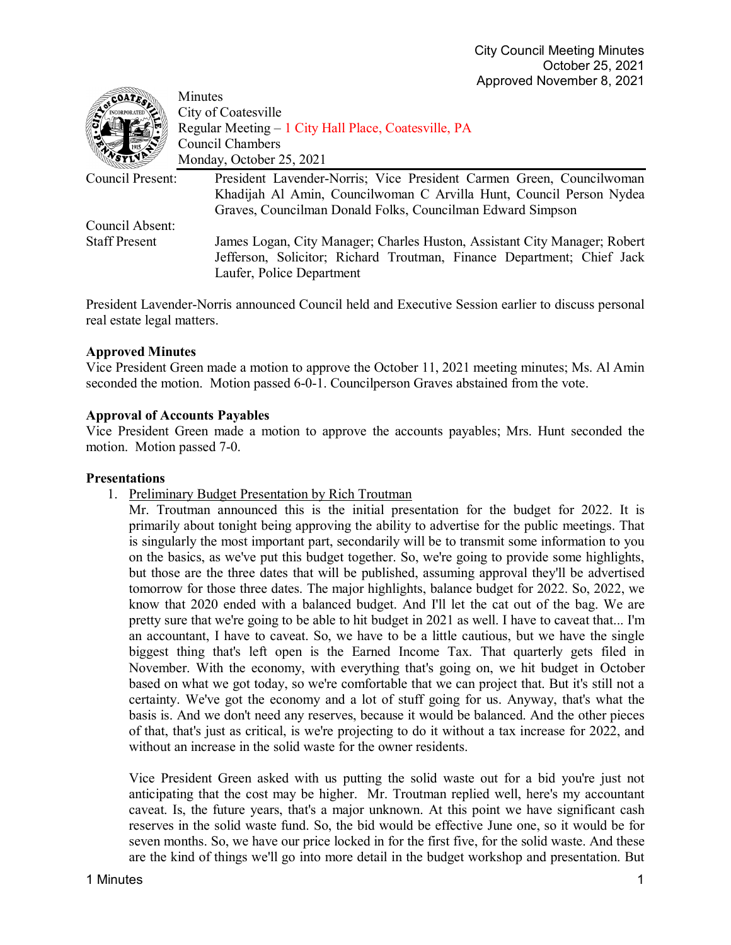| $\overline{\text{coAT}_{E_{\alpha}}}$ | Minutes                                                                   |
|---------------------------------------|---------------------------------------------------------------------------|
|                                       | City of Coatesville                                                       |
|                                       | Regular Meeting – 1 City Hall Place, Coatesville, PA                      |
|                                       | Council Chambers                                                          |
|                                       | Monday, October 25, 2021                                                  |
| Council Present:                      | President Lavender-Norris; Vice President Carmen Green, Councilwoman      |
|                                       | Khadijah Al Amin, Councilwoman C Arvilla Hunt, Council Person Nydea       |
|                                       | Graves, Councilman Donald Folks, Councilman Edward Simpson                |
| Council Absent:                       |                                                                           |
| <b>Staff Present</b>                  | James Logan, City Manager; Charles Huston, Assistant City Manager; Robert |
|                                       | Jefferson, Solicitor; Richard Troutman, Finance Department; Chief Jack    |
|                                       | Laufer, Police Department                                                 |

President Lavender-Norris announced Council held and Executive Session earlier to discuss personal real estate legal matters.

### **Approved Minutes**

Vice President Green made a motion to approve the October 11, 2021 meeting minutes; Ms. Al Amin seconded the motion. Motion passed 6-0-1. Councilperson Graves abstained from the vote.

### **Approval of Accounts Payables**

Vice President Green made a motion to approve the accounts payables; Mrs. Hunt seconded the motion. Motion passed 7-0.

#### **Presentations**

1. Preliminary Budget Presentation by Rich Troutman

Mr. Troutman announced this is the initial presentation for the budget for 2022. It is primarily about tonight being approving the ability to advertise for the public meetings. That is singularly the most important part, secondarily will be to transmit some information to you on the basics, as we've put this budget together. So, we're going to provide some highlights, but those are the three dates that will be published, assuming approval they'll be advertised tomorrow for those three dates. The major highlights, balance budget for 2022. So, 2022, we know that 2020 ended with a balanced budget. And I'll let the cat out of the bag. We are pretty sure that we're going to be able to hit budget in 2021 as well. I have to caveat that... I'm an accountant, I have to caveat. So, we have to be a little cautious, but we have the single biggest thing that's left open is the Earned Income Tax. That quarterly gets filed in November. With the economy, with everything that's going on, we hit budget in October based on what we got today, so we're comfortable that we can project that. But it's still not a certainty. We've got the economy and a lot of stuff going for us. Anyway, that's what the basis is. And we don't need any reserves, because it would be balanced. And the other pieces of that, that's just as critical, is we're projecting to do it without a tax increase for 2022, and without an increase in the solid waste for the owner residents.

Vice President Green asked with us putting the solid waste out for a bid you're just not anticipating that the cost may be higher. Mr. Troutman replied well, here's my accountant caveat. Is, the future years, that's a major unknown. At this point we have significant cash reserves in the solid waste fund. So, the bid would be effective June one, so it would be for seven months. So, we have our price locked in for the first five, for the solid waste. And these are the kind of things we'll go into more detail in the budget workshop and presentation. But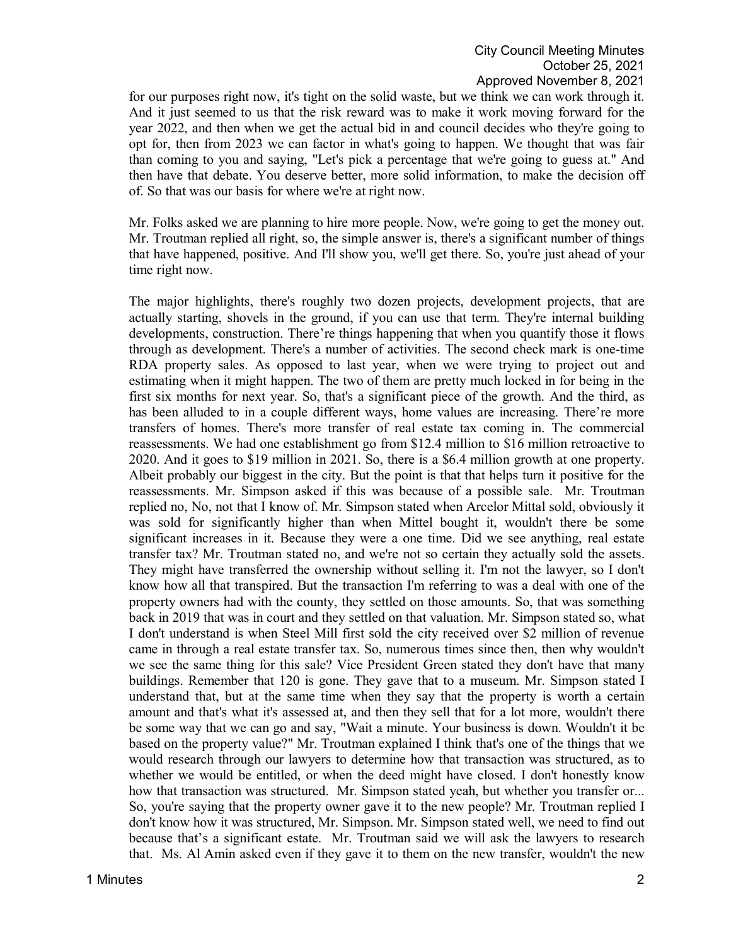for our purposes right now, it's tight on the solid waste, but we think we can work through it. And it just seemed to us that the risk reward was to make it work moving forward for the year 2022, and then when we get the actual bid in and council decides who they're going to opt for, then from 2023 we can factor in what's going to happen. We thought that was fair than coming to you and saying, "Let's pick a percentage that we're going to guess at." And then have that debate. You deserve better, more solid information, to make the decision off of. So that was our basis for where we're at right now.

Mr. Folks asked we are planning to hire more people. Now, we're going to get the money out. Mr. Troutman replied all right, so, the simple answer is, there's a significant number of things that have happened, positive. And I'll show you, we'll get there. So, you're just ahead of your time right now.

The major highlights, there's roughly two dozen projects, development projects, that are actually starting, shovels in the ground, if you can use that term. They're internal building developments, construction. There're things happening that when you quantify those it flows through as development. There's a number of activities. The second check mark is one-time RDA property sales. As opposed to last year, when we were trying to project out and estimating when it might happen. The two of them are pretty much locked in for being in the first six months for next year. So, that's a significant piece of the growth. And the third, as has been alluded to in a couple different ways, home values are increasing. There're more transfers of homes. There's more transfer of real estate tax coming in. The commercial reassessments. We had one establishment go from \$12.4 million to \$16 million retroactive to 2020. And it goes to \$19 million in 2021. So, there is a \$6.4 million growth at one property. Albeit probably our biggest in the city. But the point is that that helps turn it positive for the reassessments. Mr. Simpson asked if this was because of a possible sale. Mr. Troutman replied no, No, not that I know of. Mr. Simpson stated when Arcelor Mittal sold, obviously it was sold for significantly higher than when Mittel bought it, wouldn't there be some significant increases in it. Because they were a one time. Did we see anything, real estate transfer tax? Mr. Troutman stated no, and we're not so certain they actually sold the assets. They might have transferred the ownership without selling it. I'm not the lawyer, so I don't know how all that transpired. But the transaction I'm referring to was a deal with one of the property owners had with the county, they settled on those amounts. So, that was something back in 2019 that was in court and they settled on that valuation. Mr. Simpson stated so, what I don't understand is when Steel Mill first sold the city received over \$2 million of revenue came in through a real estate transfer tax. So, numerous times since then, then why wouldn't we see the same thing for this sale? Vice President Green stated they don't have that many buildings. Remember that 120 is gone. They gave that to a museum. Mr. Simpson stated I understand that, but at the same time when they say that the property is worth a certain amount and that's what it's assessed at, and then they sell that for a lot more, wouldn't there be some way that we can go and say, "Wait a minute. Your business is down. Wouldn't it be based on the property value?" Mr. Troutman explained I think that's one of the things that we would research through our lawyers to determine how that transaction was structured, as to whether we would be entitled, or when the deed might have closed. I don't honestly know how that transaction was structured. Mr. Simpson stated yeah, but whether you transfer or... So, you're saying that the property owner gave it to the new people? Mr. Troutman replied I don't know how it was structured, Mr. Simpson. Mr. Simpson stated well, we need to find out because that's a significant estate. Mr. Troutman said we will ask the lawyers to research that. Ms. Al Amin asked even if they gave it to them on the new transfer, wouldn't the new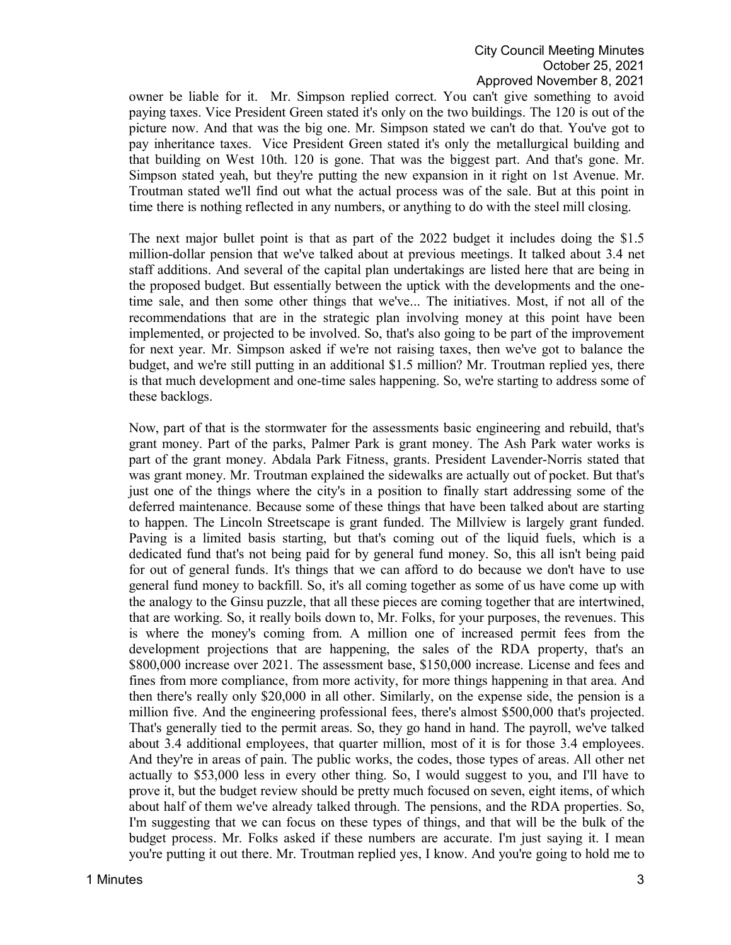owner be liable for it. Mr. Simpson replied correct. You can't give something to avoid paying taxes. Vice President Green stated it's only on the two buildings. The 120 is out of the picture now. And that was the big one. Mr. Simpson stated we can't do that. You've got to pay inheritance taxes. Vice President Green stated it's only the metallurgical building and that building on West 10th. 120 is gone. That was the biggest part. And that's gone. Mr. Simpson stated yeah, but they're putting the new expansion in it right on 1st Avenue. Mr. Troutman stated we'll find out what the actual process was of the sale. But at this point in time there is nothing reflected in any numbers, or anything to do with the steel mill closing.

The next major bullet point is that as part of the 2022 budget it includes doing the \$1.5 million-dollar pension that we've talked about at previous meetings. It talked about 3.4 net staff additions. And several of the capital plan undertakings are listed here that are being in the proposed budget. But essentially between the uptick with the developments and the onetime sale, and then some other things that we've... The initiatives. Most, if not all of the recommendations that are in the strategic plan involving money at this point have been implemented, or projected to be involved. So, that's also going to be part of the improvement for next year. Mr. Simpson asked if we're not raising taxes, then we've got to balance the budget, and we're still putting in an additional \$1.5 million? Mr. Troutman replied yes, there is that much development and one-time sales happening. So, we're starting to address some of these backlogs.

Now, part of that is the stormwater for the assessments basic engineering and rebuild, that's grant money. Part of the parks, Palmer Park is grant money. The Ash Park water works is part of the grant money. Abdala Park Fitness, grants. President Lavender-Norris stated that was grant money. Mr. Troutman explained the sidewalks are actually out of pocket. But that's just one of the things where the city's in a position to finally start addressing some of the deferred maintenance. Because some of these things that have been talked about are starting to happen. The Lincoln Streetscape is grant funded. The Millview is largely grant funded. Paving is a limited basis starting, but that's coming out of the liquid fuels, which is a dedicated fund that's not being paid for by general fund money. So, this all isn't being paid for out of general funds. It's things that we can afford to do because we don't have to use general fund money to backfill. So, it's all coming together as some of us have come up with the analogy to the Ginsu puzzle, that all these pieces are coming together that are intertwined, that are working. So, it really boils down to, Mr. Folks, for your purposes, the revenues. This is where the money's coming from. A million one of increased permit fees from the development projections that are happening, the sales of the RDA property, that's an \$800,000 increase over 2021. The assessment base, \$150,000 increase. License and fees and fines from more compliance, from more activity, for more things happening in that area. And then there's really only \$20,000 in all other. Similarly, on the expense side, the pension is a million five. And the engineering professional fees, there's almost \$500,000 that's projected. That's generally tied to the permit areas. So, they go hand in hand. The payroll, we've talked about 3.4 additional employees, that quarter million, most of it is for those 3.4 employees. And they're in areas of pain. The public works, the codes, those types of areas. All other net actually to \$53,000 less in every other thing. So, I would suggest to you, and I'll have to prove it, but the budget review should be pretty much focused on seven, eight items, of which about half of them we've already talked through. The pensions, and the RDA properties. So, I'm suggesting that we can focus on these types of things, and that will be the bulk of the budget process. Mr. Folks asked if these numbers are accurate. I'm just saying it. I mean you're putting it out there. Mr. Troutman replied yes, I know. And you're going to hold me to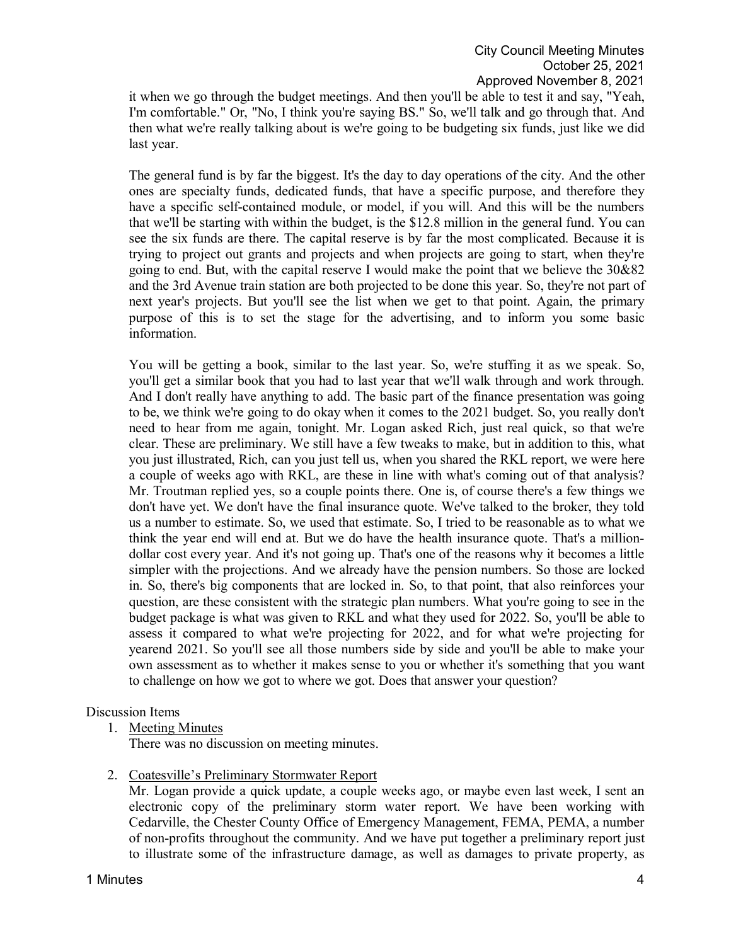it when we go through the budget meetings. And then you'll be able to test it and say, "Yeah, I'm comfortable." Or, "No, I think you're saying BS." So, we'll talk and go through that. And then what we're really talking about is we're going to be budgeting six funds, just like we did last year.

The general fund is by far the biggest. It's the day to day operations of the city. And the other ones are specialty funds, dedicated funds, that have a specific purpose, and therefore they have a specific self-contained module, or model, if you will. And this will be the numbers that we'll be starting with within the budget, is the \$12.8 million in the general fund. You can see the six funds are there. The capital reserve is by far the most complicated. Because it is trying to project out grants and projects and when projects are going to start, when they're going to end. But, with the capital reserve I would make the point that we believe the 30&82 and the 3rd Avenue train station are both projected to be done this year. So, they're not part of next year's projects. But you'll see the list when we get to that point. Again, the primary purpose of this is to set the stage for the advertising, and to inform you some basic information.

You will be getting a book, similar to the last year. So, we're stuffing it as we speak. So, you'll get a similar book that you had to last year that we'll walk through and work through. And I don't really have anything to add. The basic part of the finance presentation was going to be, we think we're going to do okay when it comes to the 2021 budget. So, you really don't need to hear from me again, tonight. Mr. Logan asked Rich, just real quick, so that we're clear. These are preliminary. We still have a few tweaks to make, but in addition to this, what you just illustrated, Rich, can you just tell us, when you shared the RKL report, we were here a couple of weeks ago with RKL, are these in line with what's coming out of that analysis? Mr. Troutman replied yes, so a couple points there. One is, of course there's a few things we don't have yet. We don't have the final insurance quote. We've talked to the broker, they told us a number to estimate. So, we used that estimate. So, I tried to be reasonable as to what we think the year end will end at. But we do have the health insurance quote. That's a milliondollar cost every year. And it's not going up. That's one of the reasons why it becomes a little simpler with the projections. And we already have the pension numbers. So those are locked in. So, there's big components that are locked in. So, to that point, that also reinforces your question, are these consistent with the strategic plan numbers. What you're going to see in the budget package is what was given to RKL and what they used for 2022. So, you'll be able to assess it compared to what we're projecting for 2022, and for what we're projecting for yearend 2021. So you'll see all those numbers side by side and you'll be able to make your own assessment as to whether it makes sense to you or whether it's something that you want to challenge on how we got to where we got. Does that answer your question?

#### Discussion Items

1. Meeting Minutes

There was no discussion on meeting minutes.

2. Coatesville's Preliminary Stormwater Report

Mr. Logan provide a quick update, a couple weeks ago, or maybe even last week, I sent an electronic copy of the preliminary storm water report. We have been working with Cedarville, the Chester County Office of Emergency Management, FEMA, PEMA, a number of non-profits throughout the community. And we have put together a preliminary report just to illustrate some of the infrastructure damage, as well as damages to private property, as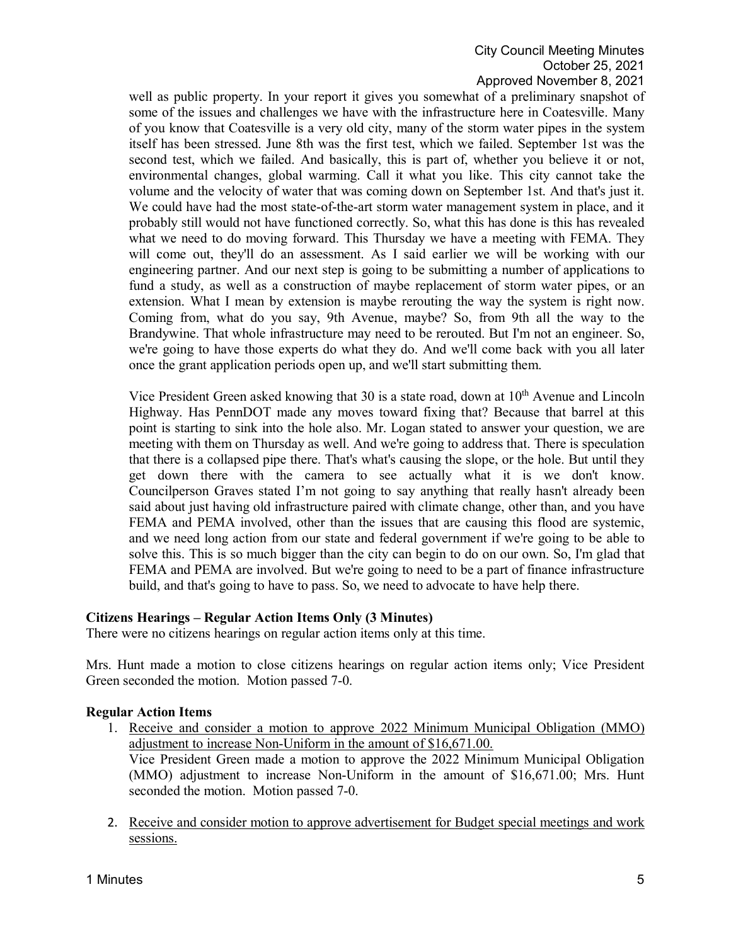## City Council Meeting Minutes October 25, 2021 Approved November 8, 2021

well as public property. In your report it gives you somewhat of a preliminary snapshot of some of the issues and challenges we have with the infrastructure here in Coatesville. Many of you know that Coatesville is a very old city, many of the storm water pipes in the system itself has been stressed. June 8th was the first test, which we failed. September 1st was the second test, which we failed. And basically, this is part of, whether you believe it or not, environmental changes, global warming. Call it what you like. This city cannot take the volume and the velocity of water that was coming down on September 1st. And that's just it. We could have had the most state-of-the-art storm water management system in place, and it probably still would not have functioned correctly. So, what this has done is this has revealed what we need to do moving forward. This Thursday we have a meeting with FEMA. They will come out, they'll do an assessment. As I said earlier we will be working with our engineering partner. And our next step is going to be submitting a number of applications to fund a study, as well as a construction of maybe replacement of storm water pipes, or an extension. What I mean by extension is maybe rerouting the way the system is right now. Coming from, what do you say, 9th Avenue, maybe? So, from 9th all the way to the Brandywine. That whole infrastructure may need to be rerouted. But I'm not an engineer. So, we're going to have those experts do what they do. And we'll come back with you all later once the grant application periods open up, and we'll start submitting them.

Vice President Green asked knowing that 30 is a state road, down at 10<sup>th</sup> Avenue and Lincoln Highway. Has PennDOT made any moves toward fixing that? Because that barrel at this point is starting to sink into the hole also. Mr. Logan stated to answer your question, we are meeting with them on Thursday as well. And we're going to address that. There is speculation that there is a collapsed pipe there. That's what's causing the slope, or the hole. But until they get down there with the camera to see actually what it is we don't know. Councilperson Graves stated I'm not going to say anything that really hasn't already been said about just having old infrastructure paired with climate change, other than, and you have FEMA and PEMA involved, other than the issues that are causing this flood are systemic, and we need long action from our state and federal government if we're going to be able to solve this. This is so much bigger than the city can begin to do on our own. So, I'm glad that FEMA and PEMA are involved. But we're going to need to be a part of finance infrastructure build, and that's going to have to pass. So, we need to advocate to have help there.

### **Citizens Hearings – Regular Action Items Only (3 Minutes)**

There were no citizens hearings on regular action items only at this time.

Mrs. Hunt made a motion to close citizens hearings on regular action items only; Vice President Green seconded the motion. Motion passed 7-0.

### **Regular Action Items**

- 1. Receive and consider a motion to approve 2022 Minimum Municipal Obligation (MMO) adjustment to increase Non-Uniform in the amount of \$16,671.00. Vice President Green made a motion to approve the 2022 Minimum Municipal Obligation (MMO) adjustment to increase Non-Uniform in the amount of \$16,671.00; Mrs. Hunt seconded the motion. Motion passed 7-0.
- 2. Receive and consider motion to approve advertisement for Budget special meetings and work sessions.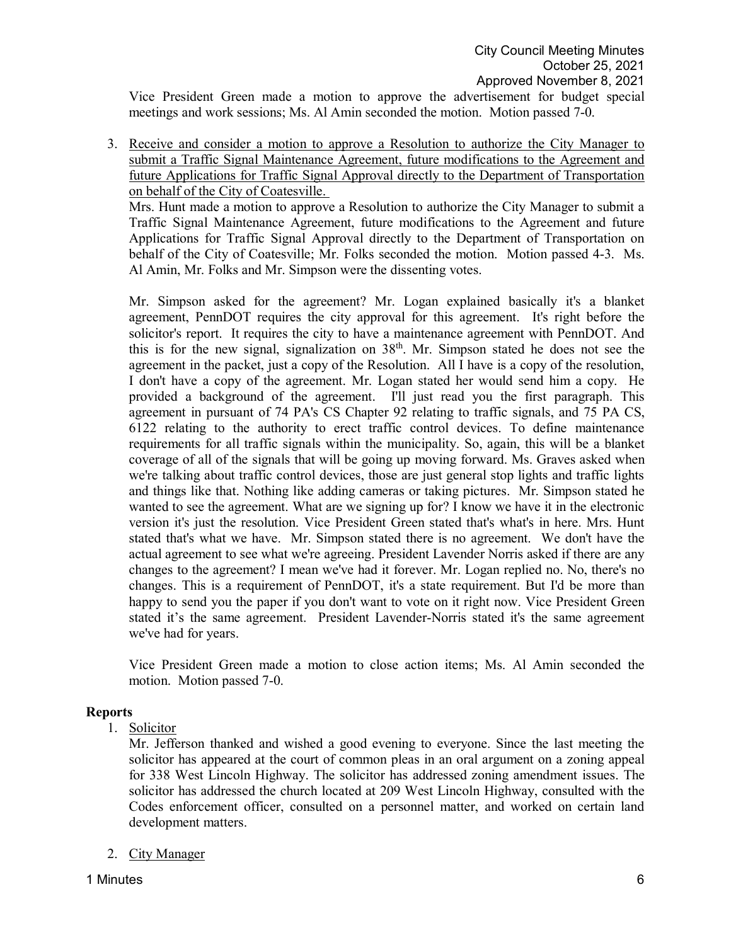Vice President Green made a motion to approve the advertisement for budget special meetings and work sessions; Ms. Al Amin seconded the motion. Motion passed 7-0.

3. Receive and consider a motion to approve a Resolution to authorize the City Manager to submit a Traffic Signal Maintenance Agreement, future modifications to the Agreement and future Applications for Traffic Signal Approval directly to the Department of Transportation on behalf of the City of Coatesville.

Mrs. Hunt made a motion to approve a Resolution to authorize the City Manager to submit a Traffic Signal Maintenance Agreement, future modifications to the Agreement and future Applications for Traffic Signal Approval directly to the Department of Transportation on behalf of the City of Coatesville; Mr. Folks seconded the motion. Motion passed 4-3. Ms. Al Amin, Mr. Folks and Mr. Simpson were the dissenting votes.

Mr. Simpson asked for the agreement? Mr. Logan explained basically it's a blanket agreement, PennDOT requires the city approval for this agreement. It's right before the solicitor's report. It requires the city to have a maintenance agreement with PennDOT. And this is for the new signal, signalization on  $38<sup>th</sup>$ . Mr. Simpson stated he does not see the agreement in the packet, just a copy of the Resolution. All I have is a copy of the resolution, I don't have a copy of the agreement. Mr. Logan stated her would send him a copy. He provided a background of the agreement. I'll just read you the first paragraph. This agreement in pursuant of 74 PA's CS Chapter 92 relating to traffic signals, and 75 PA CS, 6122 relating to the authority to erect traffic control devices. To define maintenance requirements for all traffic signals within the municipality. So, again, this will be a blanket coverage of all of the signals that will be going up moving forward. Ms. Graves asked when we're talking about traffic control devices, those are just general stop lights and traffic lights and things like that. Nothing like adding cameras or taking pictures. Mr. Simpson stated he wanted to see the agreement. What are we signing up for? I know we have it in the electronic version it's just the resolution. Vice President Green stated that's what's in here. Mrs. Hunt stated that's what we have. Mr. Simpson stated there is no agreement. We don't have the actual agreement to see what we're agreeing. President Lavender Norris asked if there are any changes to the agreement? I mean we've had it forever. Mr. Logan replied no. No, there's no changes. This is a requirement of PennDOT, it's a state requirement. But I'd be more than happy to send you the paper if you don't want to vote on it right now. Vice President Green stated it's the same agreement. President Lavender-Norris stated it's the same agreement we've had for years.

Vice President Green made a motion to close action items; Ms. Al Amin seconded the motion. Motion passed 7-0.

#### **Reports**

1. Solicitor

Mr. Jefferson thanked and wished a good evening to everyone. Since the last meeting the solicitor has appeared at the court of common pleas in an oral argument on a zoning appeal for 338 West Lincoln Highway. The solicitor has addressed zoning amendment issues. The solicitor has addressed the church located at 209 West Lincoln Highway, consulted with the Codes enforcement officer, consulted on a personnel matter, and worked on certain land development matters.

#### 2. City Manager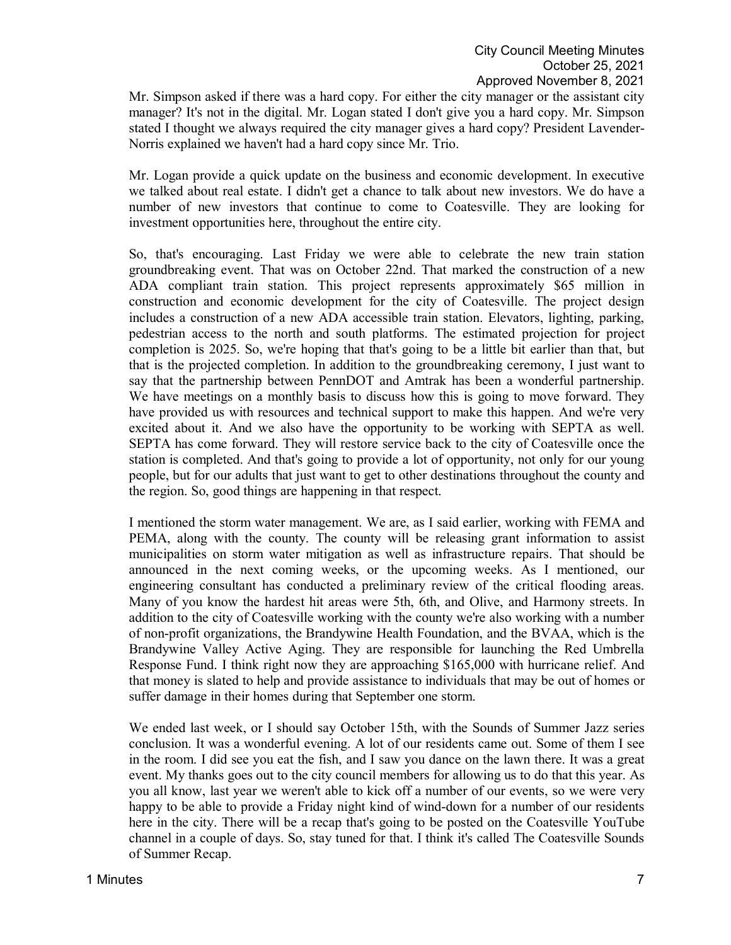Mr. Simpson asked if there was a hard copy. For either the city manager or the assistant city manager? It's not in the digital. Mr. Logan stated I don't give you a hard copy. Mr. Simpson stated I thought we always required the city manager gives a hard copy? President Lavender-Norris explained we haven't had a hard copy since Mr. Trio.

Mr. Logan provide a quick update on the business and economic development. In executive we talked about real estate. I didn't get a chance to talk about new investors. We do have a number of new investors that continue to come to Coatesville. They are looking for investment opportunities here, throughout the entire city.

So, that's encouraging. Last Friday we were able to celebrate the new train station groundbreaking event. That was on October 22nd. That marked the construction of a new ADA compliant train station. This project represents approximately \$65 million in construction and economic development for the city of Coatesville. The project design includes a construction of a new ADA accessible train station. Elevators, lighting, parking, pedestrian access to the north and south platforms. The estimated projection for project completion is 2025. So, we're hoping that that's going to be a little bit earlier than that, but that is the projected completion. In addition to the groundbreaking ceremony, I just want to say that the partnership between PennDOT and Amtrak has been a wonderful partnership. We have meetings on a monthly basis to discuss how this is going to move forward. They have provided us with resources and technical support to make this happen. And we're very excited about it. And we also have the opportunity to be working with SEPTA as well. SEPTA has come forward. They will restore service back to the city of Coatesville once the station is completed. And that's going to provide a lot of opportunity, not only for our young people, but for our adults that just want to get to other destinations throughout the county and the region. So, good things are happening in that respect.

I mentioned the storm water management. We are, as I said earlier, working with FEMA and PEMA, along with the county. The county will be releasing grant information to assist municipalities on storm water mitigation as well as infrastructure repairs. That should be announced in the next coming weeks, or the upcoming weeks. As I mentioned, our engineering consultant has conducted a preliminary review of the critical flooding areas. Many of you know the hardest hit areas were 5th, 6th, and Olive, and Harmony streets. In addition to the city of Coatesville working with the county we're also working with a number of non-profit organizations, the Brandywine Health Foundation, and the BVAA, which is the Brandywine Valley Active Aging. They are responsible for launching the Red Umbrella Response Fund. I think right now they are approaching \$165,000 with hurricane relief. And that money is slated to help and provide assistance to individuals that may be out of homes or suffer damage in their homes during that September one storm.

We ended last week, or I should say October 15th, with the Sounds of Summer Jazz series conclusion. It was a wonderful evening. A lot of our residents came out. Some of them I see in the room. I did see you eat the fish, and I saw you dance on the lawn there. It was a great event. My thanks goes out to the city council members for allowing us to do that this year. As you all know, last year we weren't able to kick off a number of our events, so we were very happy to be able to provide a Friday night kind of wind-down for a number of our residents here in the city. There will be a recap that's going to be posted on the Coatesville YouTube channel in a couple of days. So, stay tuned for that. I think it's called The Coatesville Sounds of Summer Recap.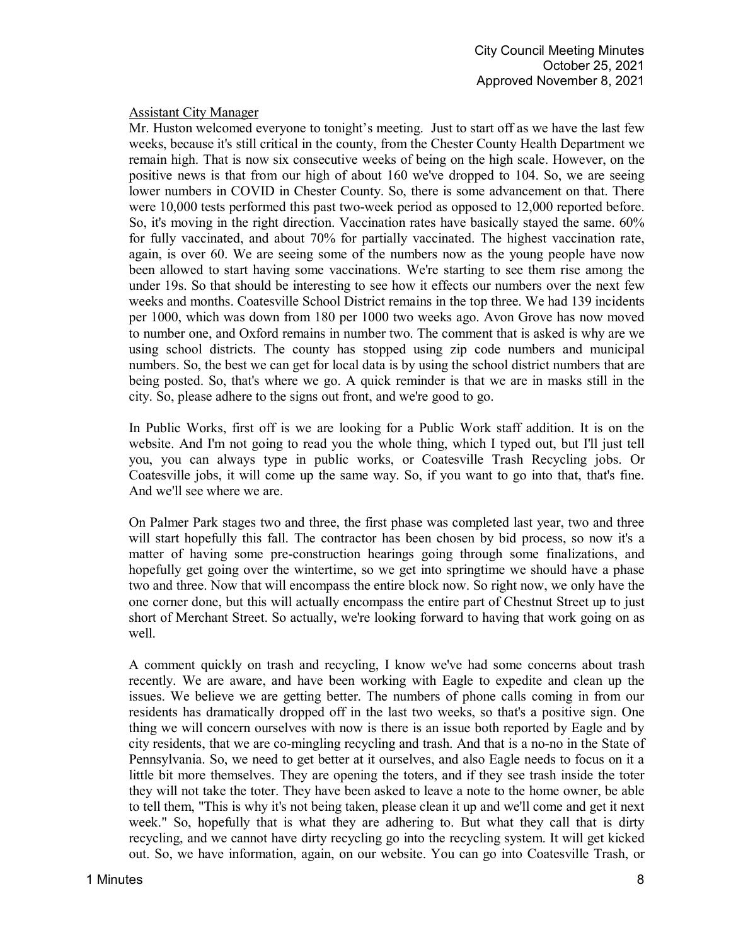### Assistant City Manager

Mr. Huston welcomed everyone to tonight's meeting. Just to start off as we have the last few weeks, because it's still critical in the county, from the Chester County Health Department we remain high. That is now six consecutive weeks of being on the high scale. However, on the positive news is that from our high of about 160 we've dropped to 104. So, we are seeing lower numbers in COVID in Chester County. So, there is some advancement on that. There were 10,000 tests performed this past two-week period as opposed to 12,000 reported before. So, it's moving in the right direction. Vaccination rates have basically stayed the same. 60% for fully vaccinated, and about 70% for partially vaccinated. The highest vaccination rate, again, is over 60. We are seeing some of the numbers now as the young people have now been allowed to start having some vaccinations. We're starting to see them rise among the under 19s. So that should be interesting to see how it effects our numbers over the next few weeks and months. Coatesville School District remains in the top three. We had 139 incidents per 1000, which was down from 180 per 1000 two weeks ago. Avon Grove has now moved to number one, and Oxford remains in number two. The comment that is asked is why are we using school districts. The county has stopped using zip code numbers and municipal numbers. So, the best we can get for local data is by using the school district numbers that are being posted. So, that's where we go. A quick reminder is that we are in masks still in the city. So, please adhere to the signs out front, and we're good to go.

In Public Works, first off is we are looking for a Public Work staff addition. It is on the website. And I'm not going to read you the whole thing, which I typed out, but I'll just tell you, you can always type in public works, or Coatesville Trash Recycling jobs. Or Coatesville jobs, it will come up the same way. So, if you want to go into that, that's fine. And we'll see where we are.

On Palmer Park stages two and three, the first phase was completed last year, two and three will start hopefully this fall. The contractor has been chosen by bid process, so now it's a matter of having some pre-construction hearings going through some finalizations, and hopefully get going over the wintertime, so we get into springtime we should have a phase two and three. Now that will encompass the entire block now. So right now, we only have the one corner done, but this will actually encompass the entire part of Chestnut Street up to just short of Merchant Street. So actually, we're looking forward to having that work going on as well.

A comment quickly on trash and recycling, I know we've had some concerns about trash recently. We are aware, and have been working with Eagle to expedite and clean up the issues. We believe we are getting better. The numbers of phone calls coming in from our residents has dramatically dropped off in the last two weeks, so that's a positive sign. One thing we will concern ourselves with now is there is an issue both reported by Eagle and by city residents, that we are co-mingling recycling and trash. And that is a no-no in the State of Pennsylvania. So, we need to get better at it ourselves, and also Eagle needs to focus on it a little bit more themselves. They are opening the toters, and if they see trash inside the toter they will not take the toter. They have been asked to leave a note to the home owner, be able to tell them, "This is why it's not being taken, please clean it up and we'll come and get it next week." So, hopefully that is what they are adhering to. But what they call that is dirty recycling, and we cannot have dirty recycling go into the recycling system. It will get kicked out. So, we have information, again, on our website. You can go into Coatesville Trash, or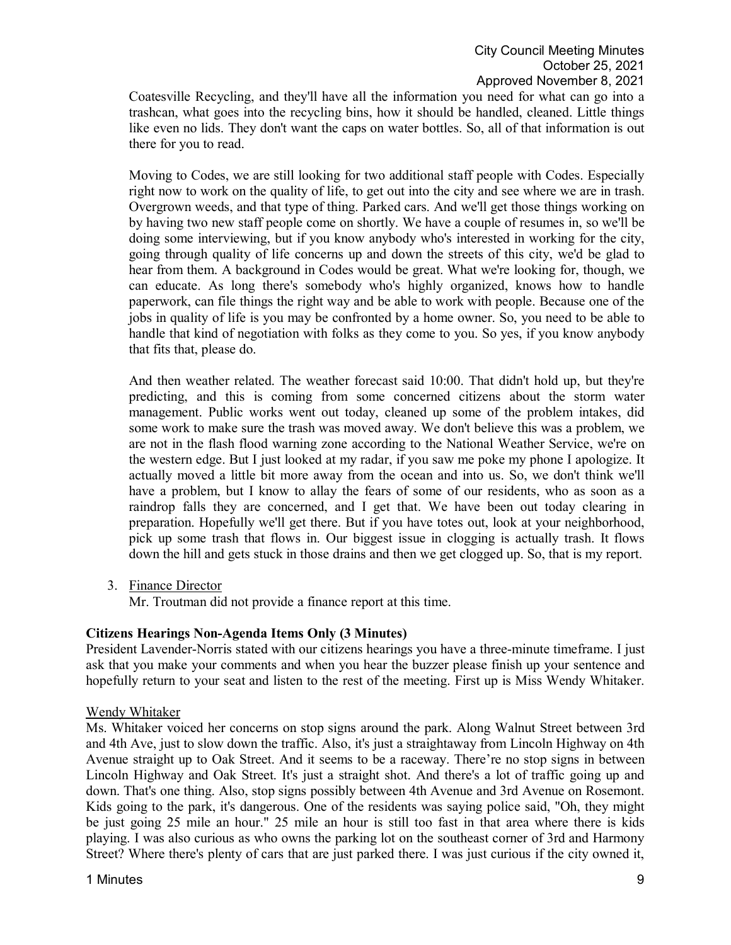Coatesville Recycling, and they'll have all the information you need for what can go into a trashcan, what goes into the recycling bins, how it should be handled, cleaned. Little things like even no lids. They don't want the caps on water bottles. So, all of that information is out there for you to read.

Moving to Codes, we are still looking for two additional staff people with Codes. Especially right now to work on the quality of life, to get out into the city and see where we are in trash. Overgrown weeds, and that type of thing. Parked cars. And we'll get those things working on by having two new staff people come on shortly. We have a couple of resumes in, so we'll be doing some interviewing, but if you know anybody who's interested in working for the city, going through quality of life concerns up and down the streets of this city, we'd be glad to hear from them. A background in Codes would be great. What we're looking for, though, we can educate. As long there's somebody who's highly organized, knows how to handle paperwork, can file things the right way and be able to work with people. Because one of the jobs in quality of life is you may be confronted by a home owner. So, you need to be able to handle that kind of negotiation with folks as they come to you. So yes, if you know anybody that fits that, please do.

And then weather related. The weather forecast said 10:00. That didn't hold up, but they're predicting, and this is coming from some concerned citizens about the storm water management. Public works went out today, cleaned up some of the problem intakes, did some work to make sure the trash was moved away. We don't believe this was a problem, we are not in the flash flood warning zone according to the National Weather Service, we're on the western edge. But I just looked at my radar, if you saw me poke my phone I apologize. It actually moved a little bit more away from the ocean and into us. So, we don't think we'll have a problem, but I know to allay the fears of some of our residents, who as soon as a raindrop falls they are concerned, and I get that. We have been out today clearing in preparation. Hopefully we'll get there. But if you have totes out, look at your neighborhood, pick up some trash that flows in. Our biggest issue in clogging is actually trash. It flows down the hill and gets stuck in those drains and then we get clogged up. So, that is my report.

3. Finance Director

Mr. Troutman did not provide a finance report at this time.

### **Citizens Hearings Non-Agenda Items Only (3 Minutes)**

President Lavender-Norris stated with our citizens hearings you have a three-minute timeframe. I just ask that you make your comments and when you hear the buzzer please finish up your sentence and hopefully return to your seat and listen to the rest of the meeting. First up is Miss Wendy Whitaker.

#### Wendy Whitaker

Ms. Whitaker voiced her concerns on stop signs around the park. Along Walnut Street between 3rd and 4th Ave, just to slow down the traffic. Also, it's just a straightaway from Lincoln Highway on 4th Avenue straight up to Oak Street. And it seems to be a raceway. There're no stop signs in between Lincoln Highway and Oak Street. It's just a straight shot. And there's a lot of traffic going up and down. That's one thing. Also, stop signs possibly between 4th Avenue and 3rd Avenue on Rosemont. Kids going to the park, it's dangerous. One of the residents was saying police said, "Oh, they might be just going 25 mile an hour." 25 mile an hour is still too fast in that area where there is kids playing. I was also curious as who owns the parking lot on the southeast corner of 3rd and Harmony Street? Where there's plenty of cars that are just parked there. I was just curious if the city owned it,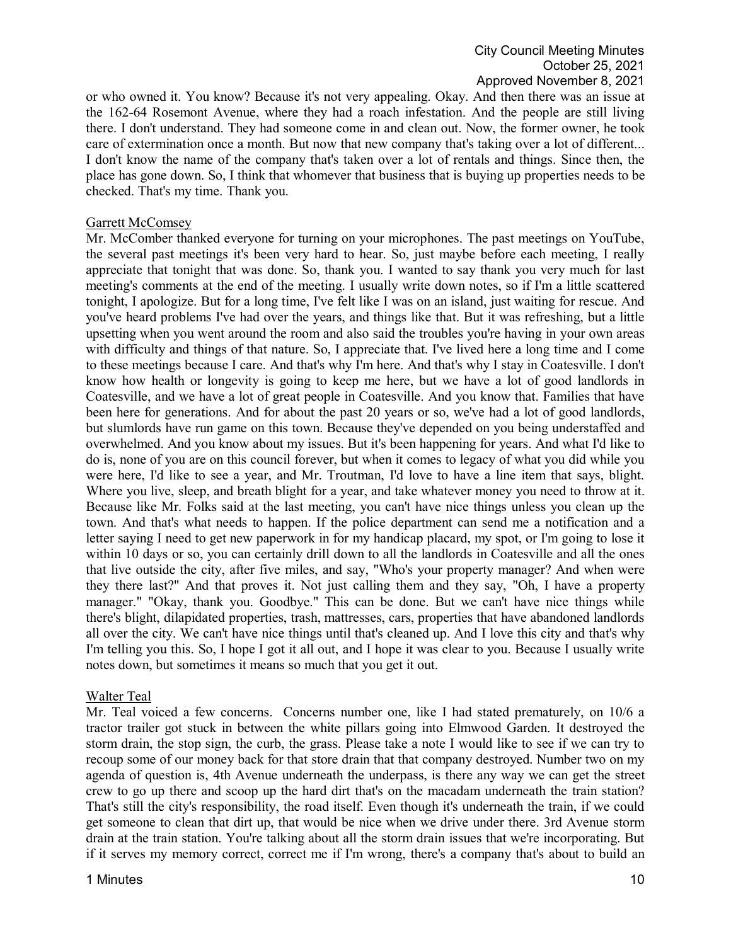or who owned it. You know? Because it's not very appealing. Okay. And then there was an issue at the 162-64 Rosemont Avenue, where they had a roach infestation. And the people are still living there. I don't understand. They had someone come in and clean out. Now, the former owner, he took care of extermination once a month. But now that new company that's taking over a lot of different... I don't know the name of the company that's taken over a lot of rentals and things. Since then, the place has gone down. So, I think that whomever that business that is buying up properties needs to be checked. That's my time. Thank you.

#### Garrett McComsey

Mr. McComber thanked everyone for turning on your microphones. The past meetings on YouTube, the several past meetings it's been very hard to hear. So, just maybe before each meeting, I really appreciate that tonight that was done. So, thank you. I wanted to say thank you very much for last meeting's comments at the end of the meeting. I usually write down notes, so if I'm a little scattered tonight, I apologize. But for a long time, I've felt like I was on an island, just waiting for rescue. And you've heard problems I've had over the years, and things like that. But it was refreshing, but a little upsetting when you went around the room and also said the troubles you're having in your own areas with difficulty and things of that nature. So, I appreciate that. I've lived here a long time and I come to these meetings because I care. And that's why I'm here. And that's why I stay in Coatesville. I don't know how health or longevity is going to keep me here, but we have a lot of good landlords in Coatesville, and we have a lot of great people in Coatesville. And you know that. Families that have been here for generations. And for about the past 20 years or so, we've had a lot of good landlords, but slumlords have run game on this town. Because they've depended on you being understaffed and overwhelmed. And you know about my issues. But it's been happening for years. And what I'd like to do is, none of you are on this council forever, but when it comes to legacy of what you did while you were here, I'd like to see a year, and Mr. Troutman, I'd love to have a line item that says, blight. Where you live, sleep, and breath blight for a year, and take whatever money you need to throw at it. Because like Mr. Folks said at the last meeting, you can't have nice things unless you clean up the town. And that's what needs to happen. If the police department can send me a notification and a letter saying I need to get new paperwork in for my handicap placard, my spot, or I'm going to lose it within 10 days or so, you can certainly drill down to all the landlords in Coatesville and all the ones that live outside the city, after five miles, and say, "Who's your property manager? And when were they there last?" And that proves it. Not just calling them and they say, "Oh, I have a property manager." "Okay, thank you. Goodbye." This can be done. But we can't have nice things while there's blight, dilapidated properties, trash, mattresses, cars, properties that have abandoned landlords all over the city. We can't have nice things until that's cleaned up. And I love this city and that's why I'm telling you this. So, I hope I got it all out, and I hope it was clear to you. Because I usually write notes down, but sometimes it means so much that you get it out.

#### Walter Teal

Mr. Teal voiced a few concerns. Concerns number one, like I had stated prematurely, on 10/6 a tractor trailer got stuck in between the white pillars going into Elmwood Garden. It destroyed the storm drain, the stop sign, the curb, the grass. Please take a note I would like to see if we can try to recoup some of our money back for that store drain that that company destroyed. Number two on my agenda of question is, 4th Avenue underneath the underpass, is there any way we can get the street crew to go up there and scoop up the hard dirt that's on the macadam underneath the train station? That's still the city's responsibility, the road itself. Even though it's underneath the train, if we could get someone to clean that dirt up, that would be nice when we drive under there. 3rd Avenue storm drain at the train station. You're talking about all the storm drain issues that we're incorporating. But if it serves my memory correct, correct me if I'm wrong, there's a company that's about to build an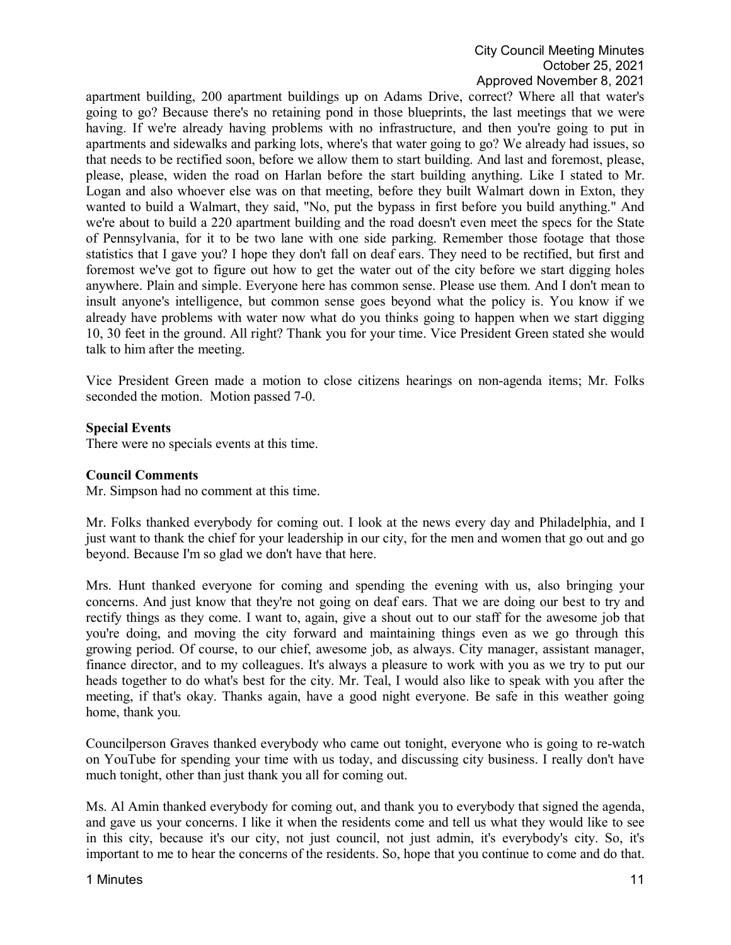# City Council Meeting Minutes October 25, 2021 Approved November 8, 2021

apartment building, 200 apartment buildings up on Adams Drive, correct? Where all that water's going to go? Because there's no retaining pond in those blueprints, the last meetings that we were having. If we're already having problems with no infrastructure, and then you're going to put in apartments and sidewalks and parking lots, where's that water going to go? We already had issues, so that needs to be rectified soon, before we allow them to start building. And last and foremost, please, please, please, widen the road on Harlan before the start building anything. Like I stated to Mr. Logan and also whoever else was on that meeting, before they built Walmart down in Exton, they wanted to build a Walmart, they said, "No, put the bypass in first before you build anything." And we're about to build a 220 apartment building and the road doesn't even meet the specs for the State of Pennsylvania, for it to be two lane with one side parking. Remember those footage that those statistics that I gave you? I hope they don't fall on deaf ears. They need to be rectified, but first and foremost we've got to figure out how to get the water out of the city before we start digging holes anywhere. Plain and simple. Everyone here has common sense. Please use them. And I don't mean to insult anyone's intelligence, but common sense goes beyond what the policy is. You know if we already have problems with water now what do you thinks going to happen when we start digging 10, 30 feet in the ground. All right? Thank you for your time. Vice President Green stated she would talk to him after the meeting.

Vice President Green made a motion to close citizens hearings on non-agenda items; Mr. Folks seconded the motion. Motion passed 7-0.

### **Special Events**

There were no specials events at this time.

#### **Council Comments**

Mr. Simpson had no comment at this time.

Mr. Folks thanked everybody for coming out. I look at the news every day and Philadelphia, and I just want to thank the chief for your leadership in our city, for the men and women that go out and go beyond. Because I'm so glad we don't have that here.

Mrs. Hunt thanked everyone for coming and spending the evening with us, also bringing your concerns. And just know that they're not going on deaf ears. That we are doing our best to try and rectify things as they come. I want to, again, give a shout out to our staff for the awesome job that you're doing, and moving the city forward and maintaining things even as we go through this growing period. Of course, to our chief, awesome job, as always. City manager, assistant manager, finance director, and to my colleagues. It's always a pleasure to work with you as we try to put our heads together to do what's best for the city. Mr. Teal, I would also like to speak with you after the meeting, if that's okay. Thanks again, have a good night everyone. Be safe in this weather going home, thank you.

Councilperson Graves thanked everybody who came out tonight, everyone who is going to re-watch on YouTube for spending your time with us today, and discussing city business. I really don't have much tonight, other than just thank you all for coming out.

Ms. Al Amin thanked everybody for coming out, and thank you to everybody that signed the agenda, and gave us your concerns. I like it when the residents come and tell us what they would like to see in this city, because it's our city, not just council, not just admin, it's everybody's city. So, it's important to me to hear the concerns of the residents. So, hope that you continue to come and do that.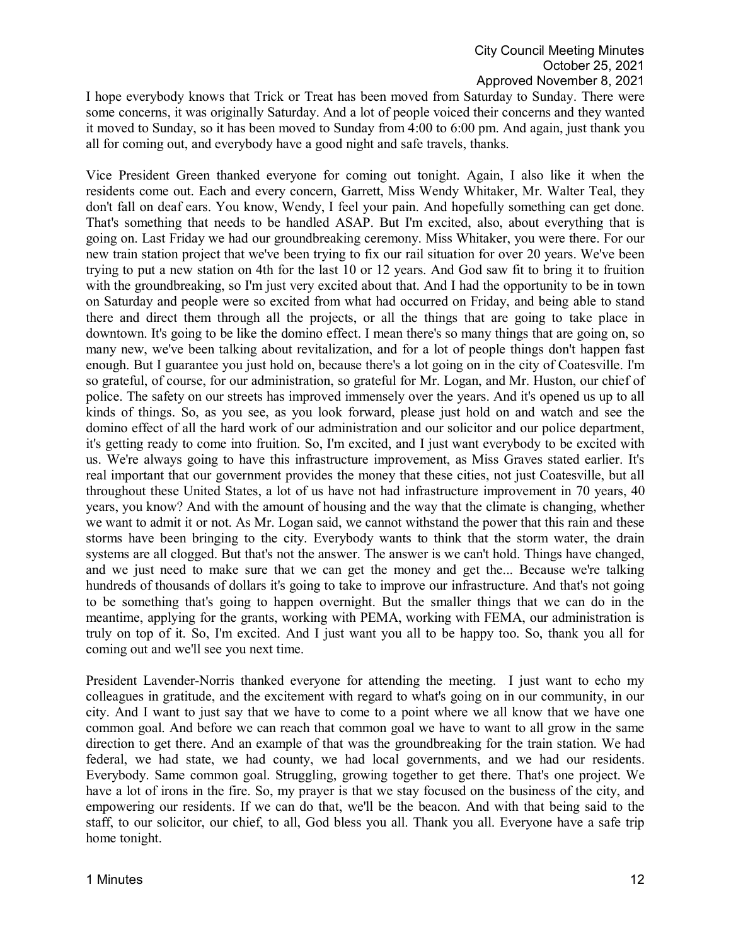I hope everybody knows that Trick or Treat has been moved from Saturday to Sunday. There were some concerns, it was originally Saturday. And a lot of people voiced their concerns and they wanted it moved to Sunday, so it has been moved to Sunday from 4:00 to 6:00 pm. And again, just thank you all for coming out, and everybody have a good night and safe travels, thanks.

Vice President Green thanked everyone for coming out tonight. Again, I also like it when the residents come out. Each and every concern, Garrett, Miss Wendy Whitaker, Mr. Walter Teal, they don't fall on deaf ears. You know, Wendy, I feel your pain. And hopefully something can get done. That's something that needs to be handled ASAP. But I'm excited, also, about everything that is going on. Last Friday we had our groundbreaking ceremony. Miss Whitaker, you were there. For our new train station project that we've been trying to fix our rail situation for over 20 years. We've been trying to put a new station on 4th for the last 10 or 12 years. And God saw fit to bring it to fruition with the groundbreaking, so I'm just very excited about that. And I had the opportunity to be in town on Saturday and people were so excited from what had occurred on Friday, and being able to stand there and direct them through all the projects, or all the things that are going to take place in downtown. It's going to be like the domino effect. I mean there's so many things that are going on, so many new, we've been talking about revitalization, and for a lot of people things don't happen fast enough. But I guarantee you just hold on, because there's a lot going on in the city of Coatesville. I'm so grateful, of course, for our administration, so grateful for Mr. Logan, and Mr. Huston, our chief of police. The safety on our streets has improved immensely over the years. And it's opened us up to all kinds of things. So, as you see, as you look forward, please just hold on and watch and see the domino effect of all the hard work of our administration and our solicitor and our police department, it's getting ready to come into fruition. So, I'm excited, and I just want everybody to be excited with us. We're always going to have this infrastructure improvement, as Miss Graves stated earlier. It's real important that our government provides the money that these cities, not just Coatesville, but all throughout these United States, a lot of us have not had infrastructure improvement in 70 years, 40 years, you know? And with the amount of housing and the way that the climate is changing, whether we want to admit it or not. As Mr. Logan said, we cannot withstand the power that this rain and these storms have been bringing to the city. Everybody wants to think that the storm water, the drain systems are all clogged. But that's not the answer. The answer is we can't hold. Things have changed, and we just need to make sure that we can get the money and get the... Because we're talking hundreds of thousands of dollars it's going to take to improve our infrastructure. And that's not going to be something that's going to happen overnight. But the smaller things that we can do in the meantime, applying for the grants, working with PEMA, working with FEMA, our administration is truly on top of it. So, I'm excited. And I just want you all to be happy too. So, thank you all for coming out and we'll see you next time.

President Lavender-Norris thanked everyone for attending the meeting. I just want to echo my colleagues in gratitude, and the excitement with regard to what's going on in our community, in our city. And I want to just say that we have to come to a point where we all know that we have one common goal. And before we can reach that common goal we have to want to all grow in the same direction to get there. And an example of that was the groundbreaking for the train station. We had federal, we had state, we had county, we had local governments, and we had our residents. Everybody. Same common goal. Struggling, growing together to get there. That's one project. We have a lot of irons in the fire. So, my prayer is that we stay focused on the business of the city, and empowering our residents. If we can do that, we'll be the beacon. And with that being said to the staff, to our solicitor, our chief, to all, God bless you all. Thank you all. Everyone have a safe trip home tonight.